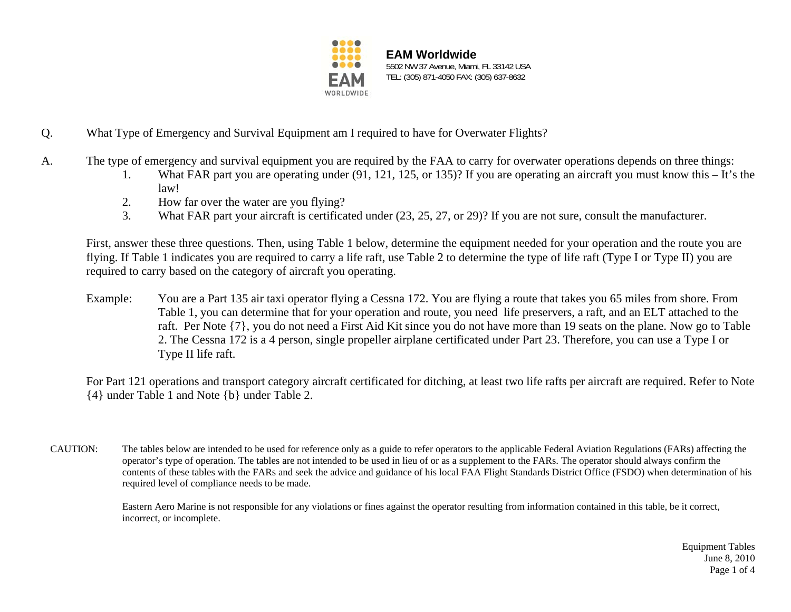

**EAM Worldwide** 5502 NW 37 Avenue, Miami, FL 33142 USA TEL: (305) 871-4050 FAX: (305) 637-8632

- Q. What Type of Emergency and Survival Equipment am I required to have for Overwater Flights?
- A. The type of emergency and survival equipment you are required by the FAA to carry for overwater operations depends on three things:
	- 1. What FAR part you are operating under (91, 121, 125, or 135)? If you are operating an aircraft you must know this It's the law!
	- 2. How far over the water are you flying?
	- 3. What FAR part your aircraft is certificated under (23, 25, 27, or 29)? If you are not sure, consult the manufacturer.

First, answer these three questions. Then, using Table 1 below, determine the equipment needed for your operation and the route you are flying. If Table 1 indicates you are required to carry a life raft, use Table 2 to determine the type of life raft (Type I or Type II) you are required to carry based on the category of aircraft you operating.

Example: You are a Part 135 air taxi operator flying a Cessna 172. You are flying a route that takes you 65 miles from shore. From Table 1, you can determine that for your operation and route, you need life preservers, a raft, and an ELT attached to the raft. Per Note {7}, you do not need a First Aid Kit since you do not have more than 19 seats on the plane. Now go to Table 2. The Cessna 172 is a 4 person, single propeller airplane certificated under Part 23. Therefore, you can use a Type I or Type II life raft.

For Part 121 operations and transport category aircraft certificated for ditching, at least two life rafts per aircraft are required. Refer to Note {4} under Table 1 and Note {b} under Table 2.

CAUTION: The tables below are intended to be used for reference only as a guide to refer operators to the applicable Federal Aviation Regulations (FARs) affecting the operator's type of operation. The tables are not intended to be used in lieu of or as a supplement to the FARs. The operator should always confirm the contents of these tables with the FARs and seek the advice and guidance of his local FAA Flight Standards District Office (FSDO) when determination of his required level of compliance needs to be made.

> Eastern Aero Marine is not responsible for any violations or fines against the operator resulting from information contained in this table, be it correct, incorrect, or incomplete.

> > Equipment Tables June 8, 2010 Page 1 of 4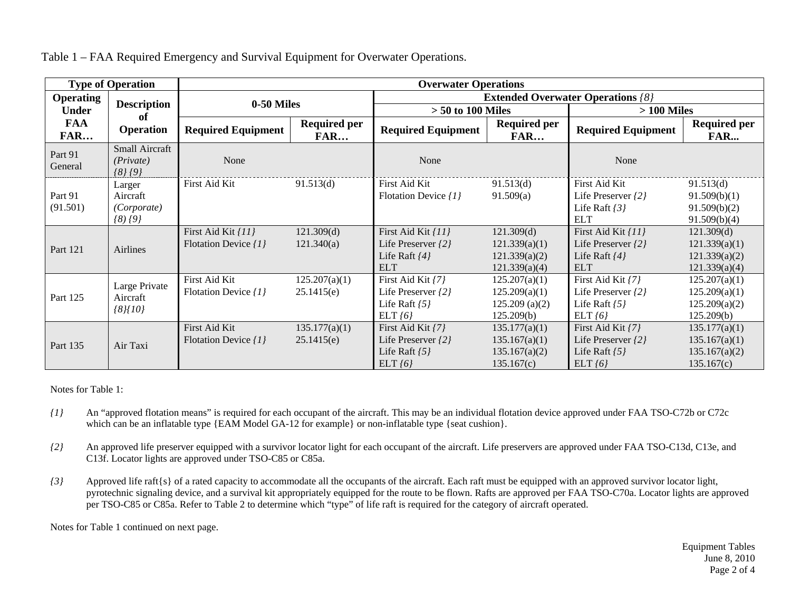| <b>Type of Operation</b>                 |                                                  | <b>Overwater Operations</b>                |                                   |                                                                                 |                                                               |                                                                                 |                                                               |  |
|------------------------------------------|--------------------------------------------------|--------------------------------------------|-----------------------------------|---------------------------------------------------------------------------------|---------------------------------------------------------------|---------------------------------------------------------------------------------|---------------------------------------------------------------|--|
| <b>Operating</b>                         | <b>Description</b><br>of<br><b>Operation</b>     | 0-50 Miles                                 |                                   | <b>Extended Overwater Operations /8/</b>                                        |                                                               |                                                                                 |                                                               |  |
| <b>Under</b><br><b>FAA</b><br><b>FAR</b> |                                                  |                                            |                                   | $> 50$ to 100 Miles                                                             |                                                               | $>100$ Miles                                                                    |                                                               |  |
|                                          |                                                  | <b>Required Equipment</b>                  | <b>Required per</b><br><b>FAR</b> | <b>Required Equipment</b>                                                       | <b>Required per</b><br><b>FAR</b>                             | <b>Required Equipment</b>                                                       | <b>Required per</b><br><b>FAR</b>                             |  |
| Part 91<br>General                       | Small Aircraft<br>(Private)<br>$\{8\}$ $\{9\}$   | None                                       |                                   | None                                                                            |                                                               | None                                                                            |                                                               |  |
| Part 91<br>(91.501)                      | Larger<br>Aircraft<br>(Corporate)<br>$(8)$ $(9)$ | First Aid Kit                              | 91.513(d)                         | First Aid Kit<br>Flotation Device $\{1\}$                                       | 91.513(d)<br>91.509(a)                                        | First Aid Kit<br>Life Preserver {2}<br>Life Raft $\{3\}$<br><b>ELT</b>          | 91.513(d)<br>91.509(b)(1)<br>91.509(b)(2)<br>91.509(b)(4)     |  |
| Part 121                                 | Airlines                                         | First Aid Kit {11}<br>Flotation Device {1} | 121.309(d)<br>121.340(a)          | First Aid Kit /11}<br>Life Preserver $\{2\}$<br>Life Raft $\{4\}$<br><b>ELT</b> | 121.309(d)<br>121.339(a)(1)<br>121.339(a)(2)<br>121.339(a)(4) | First Aid Kit /11}<br>Life Preserver $\{2\}$<br>Life Raft $\{4\}$<br><b>ELT</b> | 121.309(d)<br>121.339(a)(1)<br>121.339(a)(2)<br>121.339(a)(4) |  |
| Part 125                                 | Large Private<br>Aircraft<br>${8}$ [10]          | First Aid Kit<br>Flotation Device {1}      | 125.207(a)(1)<br>25.1415(e)       | First Aid Kit [7]<br>Life Preserver $\{2\}$<br>Life Raft $\{5\}$<br>ELT/6       | 125.207(a)(1)<br>125.209(a)(1)<br>125.209(a)(2)<br>125.209(b) | First Aid Kit [7]<br>Life Preserver {2}<br>Life Raft $\{5\}$<br>ELT $(6)$       | 125.207(a)(1)<br>125.209(a)(1)<br>125.209(a)(2)<br>125.209(b) |  |
| Part 135                                 | Air Taxi                                         | First Aid Kit<br>Flotation Device {1}      | 135.177(a)(1)<br>25.1415(e)       | First Aid Kit [7]<br>Life Preserver $\{2\}$<br>Life Raft $\{5\}$<br>ELT $(6)$   | 135.177(a)(1)<br>135.167(a)(1)<br>135.167(a)(2)<br>135.167(c) | First Aid Kit [7]<br>Life Preserver $\{2\}$<br>Life Raft $\{5\}$<br>ELT(6)      | 135.177(a)(1)<br>135.167(a)(1)<br>135.167(a)(2)<br>135.167(c) |  |

Table 1 – FAA Required Emergency and Survival Equipment for Overwater Operations.

Notes for Table 1:

- *{1}* An "approved flotation means" is required for each occupant of the aircraft. This may be an individual flotation device approved under FAA TSO-C72b or C72c which can be an inflatable type {EAM Model GA-12 for example} or non-inflatable type {seat cushion}.
- *{2}* An approved life preserver equipped with a survivor locator light for each occupant of the aircraft. Life preservers are approved under FAA TSO-C13d, C13e, and C13f. Locator lights are approved under TSO-C85 or C85a.
- *{3}* Approved life raft{s} of a rated capacity to accommodate all the occupants of the aircraft. Each raft must be equipped with an approved survivor locator light, pyrotechnic signaling device, and a survival kit appropriately equipped for the route to be flown. Rafts are approved per FAA TSO-C70a. Locator lights are approved per TSO-C85 or C85a. Refer to Table 2 to determine which "type" of life raft is required for the category of aircraft operated.

Notes for Table 1 continued on next page.

Equipment Tables June 8, 2010 Page 2 of 4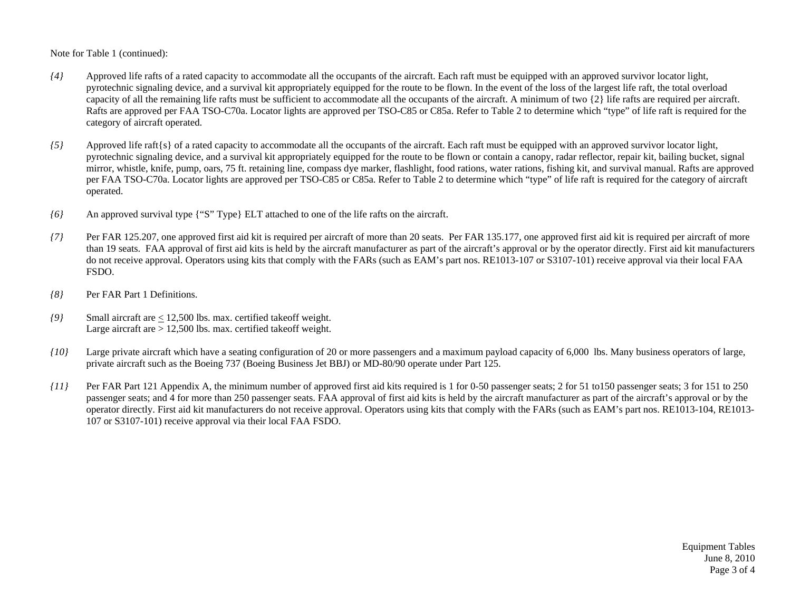Note for Table 1 (continued):

- *{4}* Approved life rafts of a rated capacity to accommodate all the occupants of the aircraft. Each raft must be equipped with an approved survivor locator light, pyrotechnic signaling device, and a survival kit appropriately equipped for the route to be flown. In the event of the loss of the largest life raft, the total overload capacity of all the remaining life rafts must be sufficient to accommodate all the occupants of the aircraft. A minimum of two {2} life rafts are required per aircraft. Rafts are approved per FAA TSO-C70a. Locator lights are approved per TSO-C85 or C85a. Refer to Table 2 to determine which "type" of life raft is required for the category of aircraft operated.
- *{5}* Approved life raft{s} of a rated capacity to accommodate all the occupants of the aircraft. Each raft must be equipped with an approved survivor locator light, pyrotechnic signaling device, and a survival kit appropriately equipped for the route to be flown or contain a canopy, radar reflector, repair kit, bailing bucket, signal mirror, whistle, knife, pump, oars, 75 ft. retaining line, compass dye marker, flashlight, food rations, water rations, fishing kit, and survival manual. Rafts are approved per FAA TSO-C70a. Locator lights are approved per TSO-C85 or C85a. Refer to Table 2 to determine which "type" of life raft is required for the category of aircraft operated.
- *{6}* An approved survival type {"S" Type} ELT attached to one of the life rafts on the aircraft.
- *{7}* Per FAR 125.207, one approved first aid kit is required per aircraft of more than 20 seats. Per FAR 135.177, one approved first aid kit is required per aircraft of more than 19 seats. FAA approval of first aid kits is held by the aircraft manufacturer as part of the aircraft's approval or by the operator directly. First aid kit manufacturers do not receive approval. Operators using kits that comply with the FARs (such as EAM's part nos. RE1013-107 or S3107-101) receive approval via their local FAA FSDO.
- *{8}* Per FAR Part 1 Definitions.
- *{9}* Small aircraft are < 12,500 lbs. max. certified takeoff weight. Large aircraft are  $> 12,500$  lbs. max. certified takeoff weight.
- *{10}* Large private aircraft which have a seating configuration of 20 or more passengers and a maximum payload capacity of 6,000 lbs. Many business operators of large, private aircraft such as the Boeing 737 (Boeing Business Jet BBJ) or MD-80/90 operate under Part 125.
- *{11}* Per FAR Part 121 Appendix A, the minimum number of approved first aid kits required is 1 for 0-50 passenger seats; 2 for 51 to150 passenger seats; 3 for 151 to 250 passenger seats; and 4 for more than 250 passenger seats. FAA approval of first aid kits is held by the aircraft manufacturer as part of the aircraft's approval or by the operator directly. First aid kit manufacturers do not receive approval. Operators using kits that comply with the FARs (such as EAM's part nos. RE1013-104, RE1013- 107 or S3107-101) receive approval via their local FAA FSDO.